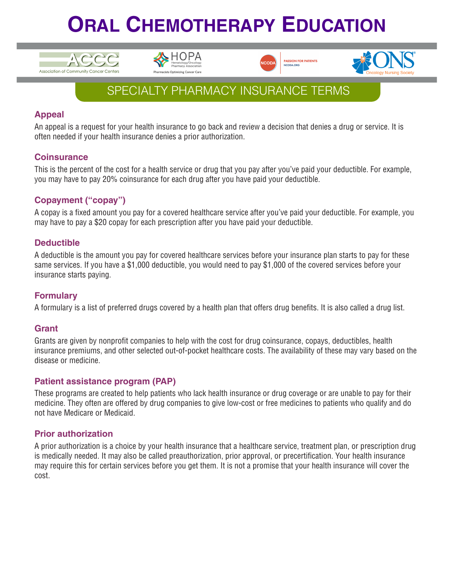# **ORAL CHEMOTHERAPY EDUCATION**









### SPECIALTY PHARMACY INSURANCE TERMS

#### **Appeal**

An appeal is a request for your health insurance to go back and review a decision that denies a drug or service. It is often needed if your health insurance denies a prior authorization.

#### **Coinsurance**

This is the percent of the cost for a health service or drug that you pay after you've paid your deductible. For example, you may have to pay 20% coinsurance for each drug after you have paid your deductible.

#### **Copayment ("copay")**

A copay is a fixed amount you pay for a covered healthcare service after you've paid your deductible. For example, you may have to pay a \$20 copay for each prescription after you have paid your deductible.

#### **Deductible**

A deductible is the amount you pay for covered healthcare services before your insurance plan starts to pay for these same services. If you have a \$1,000 deductible, you would need to pay \$1,000 of the covered services before your insurance starts paying.

#### **Formulary**

A formulary is a list of preferred drugs covered by a health plan that offers drug benefits. It is also called a drug list.

#### **Grant**

Grants are given by nonprofit companies to help with the cost for drug coinsurance, copays, deductibles, health insurance premiums, and other selected out-of-pocket healthcare costs. The availability of these may vary based on the disease or medicine.

#### **Patient assistance program (PAP)**

These programs are created to help patients who lack health insurance or drug coverage or are unable to pay for their medicine. They often are offered by drug companies to give low-cost or free medicines to patients who qualify and do not have Medicare or Medicaid.

#### **Prior authorization**

A prior authorization is a choice by your health insurance that a healthcare service, treatment plan, or prescription drug is medically needed. It may also be called preauthorization, prior approval, or precertification. Your health insurance may require this for certain services before you get them. It is not a promise that your health insurance will cover the cost.